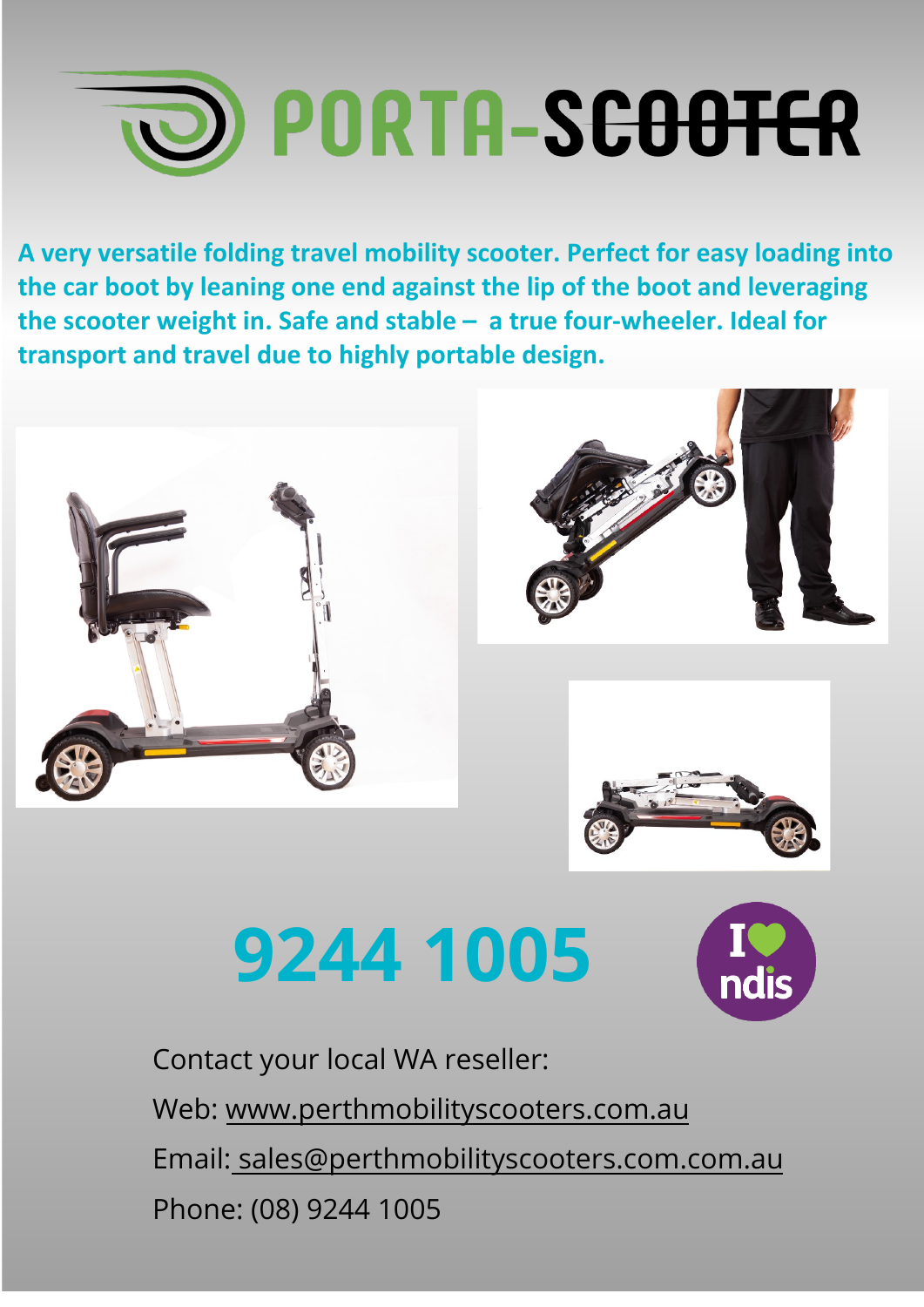## **ID PORTA-SCOOTER**

**A very versatile folding travel mobility scooter. Perfect for easy loading into the car boot by leaning one end against the lip of the boot and leveraging the scooter weight in. Safe and stable – a true four-wheeler. Ideal for transport and travel due to highly portable design.** 



## **9244 1005**



[Contact your local WA r](http://www.portablemobility.com.au/)eseller: Web: [www.perthmobility](mailto::%20info@portablemobility.com.au)scooters.com.au Email: sales@perthmobilityscooters.com.com.au Phone: (08) 9244 1005